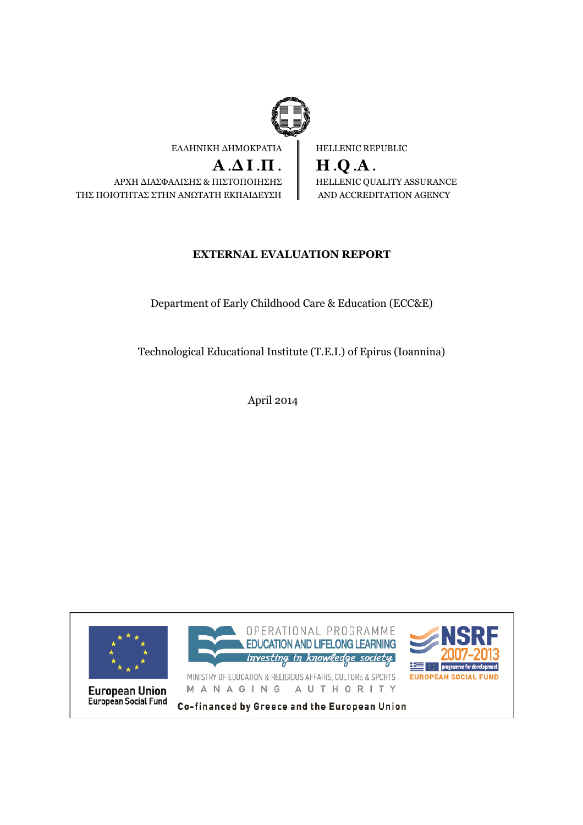

HELLENIC REPUBLIC  $H.O.A.$ HELLENIC QUALITY ASSURANCE AND ACCREDITATION AGENCY

# **EXTERNAL EVALUATION REPORT**

Department of Early Childhood Care & Education (ECC&E)

Technological Educational Institute (T.E.I.) of Epirus (Ioannina)

April 2014

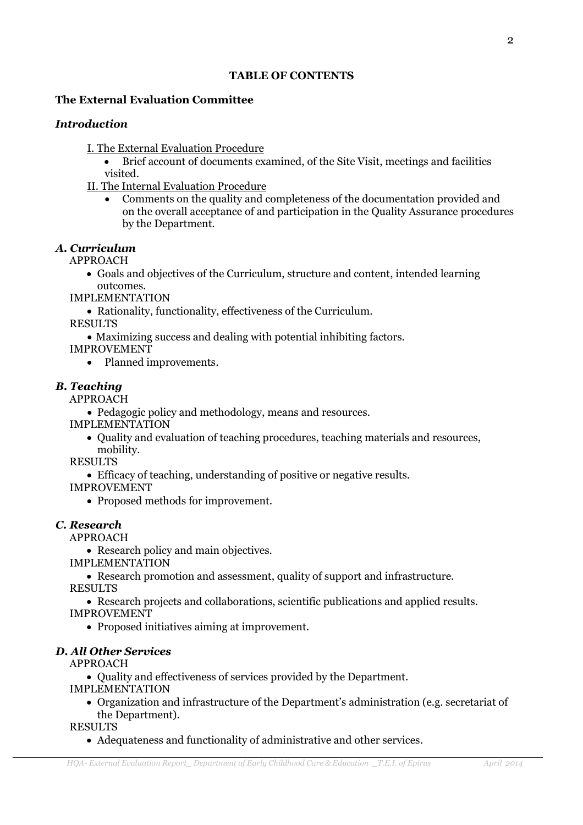#### **TABLE OF CONTENTS**

#### The External Evaluation Committee

#### **Introduction**

I. The External Evaluation Procedure

- $\bullet$ Brief account of documents examined, of the Site Visit, meetings and facilities visited.
- **II. The Internal Evaluation Procedure** 
	- Comments on the quality and completeness of the documentation provided and on the overall acceptance of and participation in the Quality Assurance procedures by the Department.

#### A. Curriculum

**APPROACH** 

• Goals and objectives of the Curriculum, structure and content, intended learning outcomes

**IMPLEMENTATION** 

• Rationality, functionality, effectiveness of the Curriculum.

**RESULTS** 

• Maximizing success and dealing with potential inhibiting factors.

**IMPROVEMENT** 

• Planned improvements.

#### **B.** Teaching

**APPROACH** 

• Pedagogic policy and methodology, means and resources.

**IMPLEMENTATION** 

• Ouality and evaluation of teaching procedures, teaching materials and resources, mobility.

**RESULTS** 

• Efficacy of teaching, understanding of positive or negative results.

**IMPROVEMENT** 

• Proposed methods for improvement.

#### C. Research

**APPROACH** 

• Research policy and main objectives.

**IMPLEMENTATION** 

• Research promotion and assessment, quality of support and infrastructure.

**RESULTS** 

• Research projects and collaborations, scientific publications and applied results.

**IMPROVEMENT** 

• Proposed initiatives aiming at improvement.

#### **D. All Other Services**

**APPROACH** 

• Quality and effectiveness of services provided by the Department.

**IMPLEMENTATION** 

• Organization and infrastructure of the Department's administration (e.g. secretariat of the Department).

**RESULTS** 

• Adequateness and functionality of administrative and other services.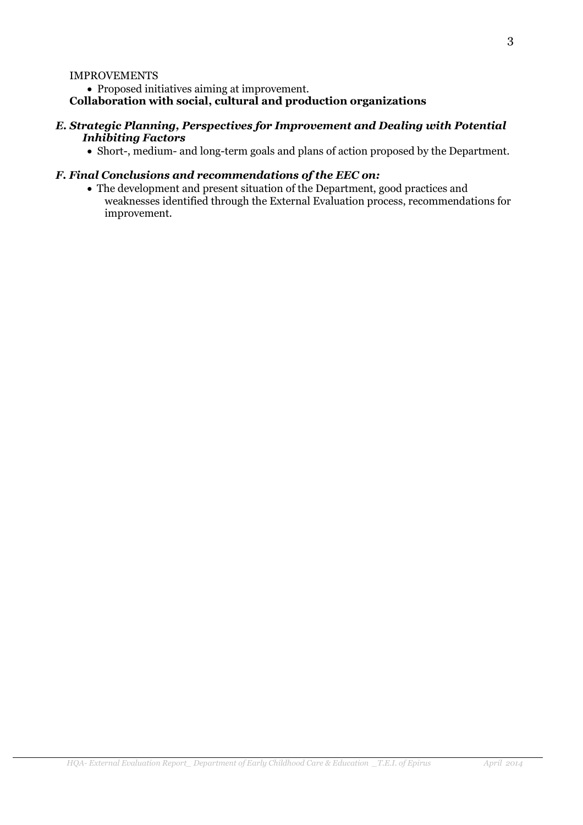#### **IMPROVEMENTS**

• Proposed initiatives aiming at improvement.

#### Collaboration with social, cultural and production organizations

#### E. Strategic Planning, Perspectives for Improvement and Dealing with Potential **Inhibiting Factors**

• Short-, medium- and long-term goals and plans of action proposed by the Department.

#### F. Final Conclusions and recommendations of the EEC on:

• The development and present situation of the Department, good practices and weaknesses identified through the External Evaluation process, recommendations for improvement.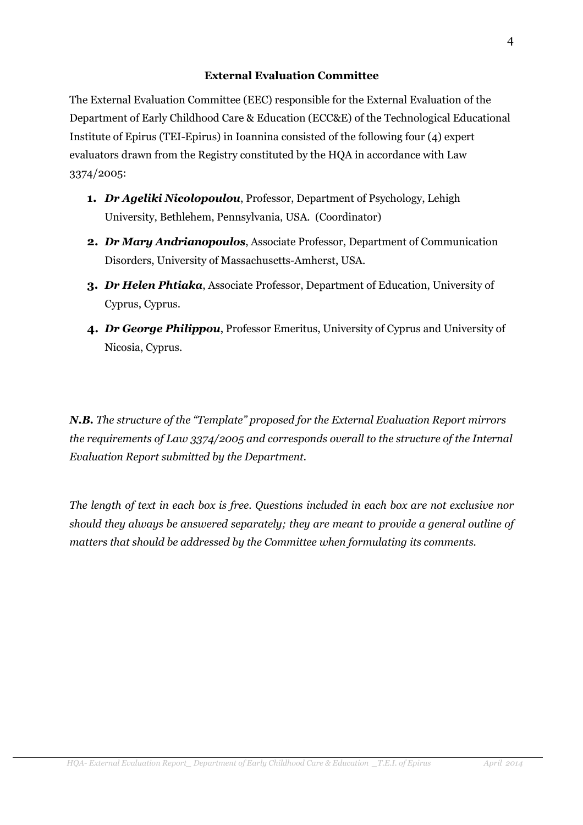#### **External Evaluation Committee**

The External Evaluation Committee (EEC) responsible for the External Evaluation of the Department of Early Childhood Care & Education (ECC&E) of the Technological Educational Institute of Epirus (TEI-Epirus) in Ioannina consisted of the following four (4) expert evaluators drawn from the Registry constituted by the HQA in accordance with Law 3374/2005:

- 1. Dr Ageliki Nicolopoulou, Professor, Department of Psychology, Lehigh University, Bethlehem, Pennsylvania, USA. (Coordinator)
- 2. Dr Mary Andrianopoulos, Associate Professor, Department of Communication Disorders, University of Massachusetts-Amherst, USA.
- **3.** Dr Helen Phtiaka, Associate Professor, Department of Education, University of Cyprus, Cyprus.
- 4. Dr George Philippou, Professor Emeritus, University of Cyprus and University of Nicosia, Cyprus.

N.B. The structure of the "Template" proposed for the External Evaluation Report mirrors the requirements of Law 3374/2005 and corresponds overall to the structure of the Internal Evaluation Report submitted by the Department.

The length of text in each box is free. Questions included in each box are not exclusive nor should they always be answered separately; they are meant to provide a general outline of matters that should be addressed by the Committee when formulating its comments.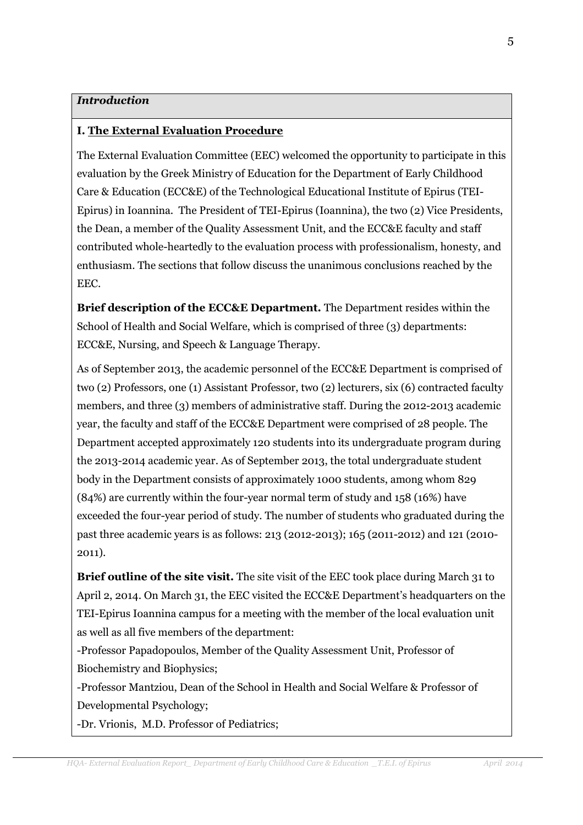### **Introduction**

### **I. The External Evaluation Procedure**

The External Evaluation Committee (EEC) welcomed the opportunity to participate in this evaluation by the Greek Ministry of Education for the Department of Early Childhood Care & Education (ECC&E) of the Technological Educational Institute of Epirus (TEI-Epirus) in Ioannina. The President of TEI-Epirus (Ioannina), the two (2) Vice Presidents. the Dean, a member of the Quality Assessment Unit, and the ECC&E faculty and staff contributed whole-heartedly to the evaluation process with professionalism, honesty, and enthusiasm. The sections that follow discuss the unanimous conclusions reached by the EEC.

**Brief description of the ECC&E Department.** The Department resides within the School of Health and Social Welfare, which is comprised of three (3) departments: ECC&E, Nursing, and Speech & Language Therapy.

As of September 2013, the academic personnel of the ECC&E Department is comprised of two (2) Professors, one (1) Assistant Professor, two (2) lecturers, six (6) contracted faculty members, and three (3) members of administrative staff. During the 2012-2013 academic year, the faculty and staff of the ECC&E Department were comprised of 28 people. The Department accepted approximately 120 students into its undergraduate program during the 2013-2014 academic year. As of September 2013, the total undergraduate student body in the Department consists of approximately 1000 students, among whom 829 (84%) are currently within the four-year normal term of study and 158 (16%) have exceeded the four-year period of study. The number of students who graduated during the past three academic years is as follows: 213 (2012-2013); 165 (2011-2012) and 121 (2010- $2011$ ).

**Brief outline of the site visit.** The site visit of the EEC took place during March 31 to April 2, 2014. On March 31, the EEC visited the ECC&E Department's headquarters on the TEI-Epirus Ioannina campus for a meeting with the member of the local evaluation unit as well as all five members of the department:

-Professor Papadopoulos, Member of the Quality Assessment Unit, Professor of Biochemistry and Biophysics;

-Professor Mantziou, Dean of the School in Health and Social Welfare & Professor of Developmental Psychology;

-Dr. Vrionis, M.D. Professor of Pediatrics;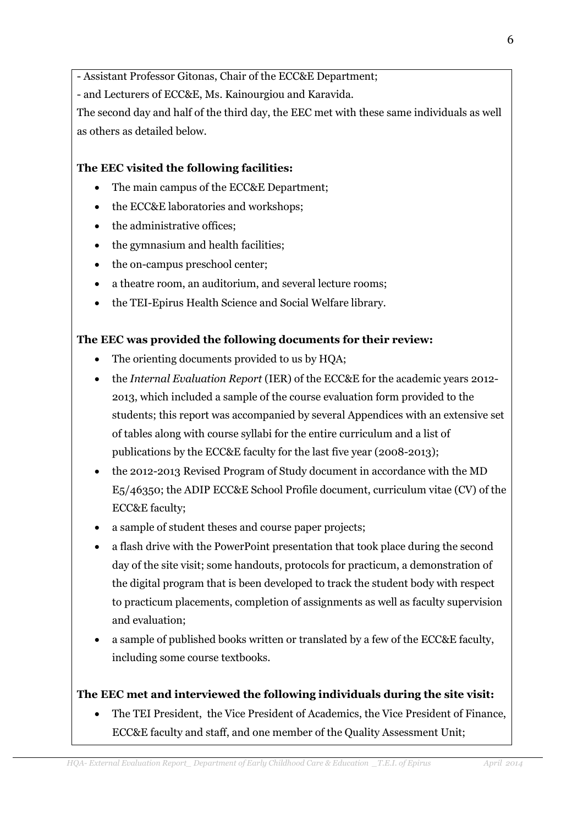- Assistant Professor Gitonas, Chair of the ECC&E Department;

- and Lecturers of ECC&E, Ms. Kainourgiou and Karavida.

The second day and half of the third day, the EEC met with these same individuals as well as others as detailed below.

# The EEC visited the following facilities:

- The main campus of the ECC&E Department;
- the ECC&E laboratories and workshops;  $\bullet$
- the administrative offices;
- the gymnasium and health facilities;
- the on-campus preschool center;
- a theatre room, an auditorium, and several lecture rooms;  $\bullet$
- the TEI-Epirus Health Science and Social Welfare library.

# The EEC was provided the following documents for their review:

- The orienting documents provided to us by HOA;  $\bullet$
- the Internal Evaluation Report (IER) of the ECC&E for the academic years 2012-2013, which included a sample of the course evaluation form provided to the students: this report was accompanied by several Appendices with an extensive set of tables along with course syllabi for the entire curriculum and a list of publications by the ECC&E faculty for the last five year (2008-2013);
- the 2012-2013 Revised Program of Study document in accordance with the MD E5/46350; the ADIP ECC&E School Profile document, curriculum vitae (CV) of the **ECC&E** faculty;
- a sample of student theses and course paper projects;
- a flash drive with the PowerPoint presentation that took place during the second day of the site visit; some handouts, protocols for practicum, a demonstration of the digital program that is been developed to track the student body with respect to practicum placements, completion of assignments as well as faculty supervision and evaluation:
- a sample of published books written or translated by a few of the ECC&E faculty, including some course textbooks.

# The EEC met and interviewed the following individuals during the site visit:

• The TEI President, the Vice President of Academics, the Vice President of Finance, ECC&E faculty and staff, and one member of the Quality Assessment Unit;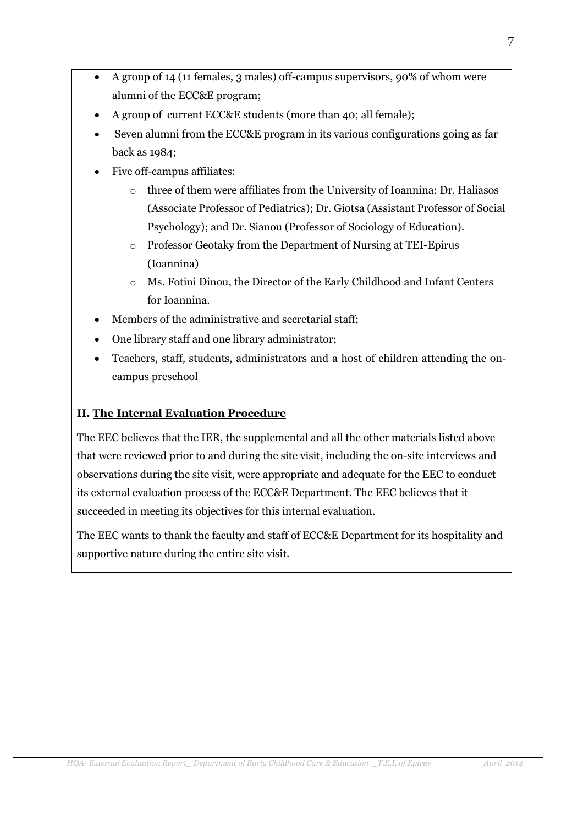- A group of 14 (11 females, 3 males) off-campus supervisors, 90% of whom were alumni of the ECC&E program;
- A group of current ECC&E students (more than 40; all female);
- Seven alumni from the ECC&E program in its various configurations going as far back as 1984;
- Five off-campus affiliates:
	- $\circ$  three of them were affiliates from the University of Ioannina: Dr. Haliasos (Associate Professor of Pediatrics); Dr. Giotsa (Assistant Professor of Social Psychology); and Dr. Sianou (Professor of Sociology of Education).
	- o Professor Geotaky from the Department of Nursing at TEI-Epirus (Ioannina)
	- o Ms. Fotini Dinou, the Director of the Early Childhood and Infant Centers for Ioannina.
- Members of the administrative and secretarial staff;
- One library staff and one library administrator;
- Teachers, staff, students, administrators and a host of children attending the oncampus preschool

# **II. The Internal Evaluation Procedure**

The EEC believes that the IER, the supplemental and all the other materials listed above that were reviewed prior to and during the site visit, including the on-site interviews and observations during the site visit, were appropriate and adequate for the EEC to conduct its external evaluation process of the ECC&E Department. The EEC believes that it succeeded in meeting its objectives for this internal evaluation.

The EEC wants to thank the faculty and staff of ECC&E Department for its hospitality and supportive nature during the entire site visit.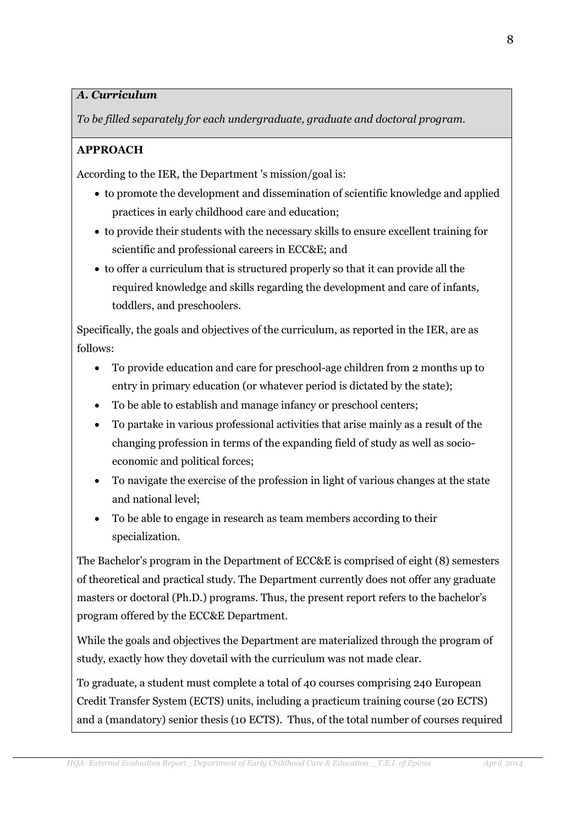# A. Curriculum

To be filled separately for each undergraduate, graduate and doctoral program.

# **APPROACH**

According to the IER, the Department 's mission/goal is:

- to promote the development and dissemination of scientific knowledge and applied practices in early childhood care and education;
- to provide their students with the necessary skills to ensure excellent training for scientific and professional careers in ECC&E; and
- to offer a curriculum that is structured properly so that it can provide all the required knowledge and skills regarding the development and care of infants, toddlers, and preschoolers.

Specifically, the goals and objectives of the curriculum, as reported in the IER, are as follows:

- To provide education and care for preschool-age children from 2 months up to entry in primary education (or whatever period is dictated by the state);
- To be able to establish and manage infancy or preschool centers;
- To partake in various professional activities that arise mainly as a result of the changing profession in terms of the expanding field of study as well as socioeconomic and political forces;
- To navigate the exercise of the profession in light of various changes at the state and national level:
- To be able to engage in research as team members according to their specialization.

The Bachelor's program in the Department of ECC&E is comprised of eight (8) semesters of theoretical and practical study. The Department currently does not offer any graduate masters or doctoral (Ph.D.) programs. Thus, the present report refers to the bachelor's program offered by the ECC&E Department.

While the goals and objectives the Department are materialized through the program of study, exactly how they dovetail with the curriculum was not made clear.

To graduate, a student must complete a total of 40 courses comprising 240 European Credit Transfer System (ECTS) units, including a practicum training course (20 ECTS) and a (mandatory) senior thesis (10 ECTS). Thus, of the total number of courses required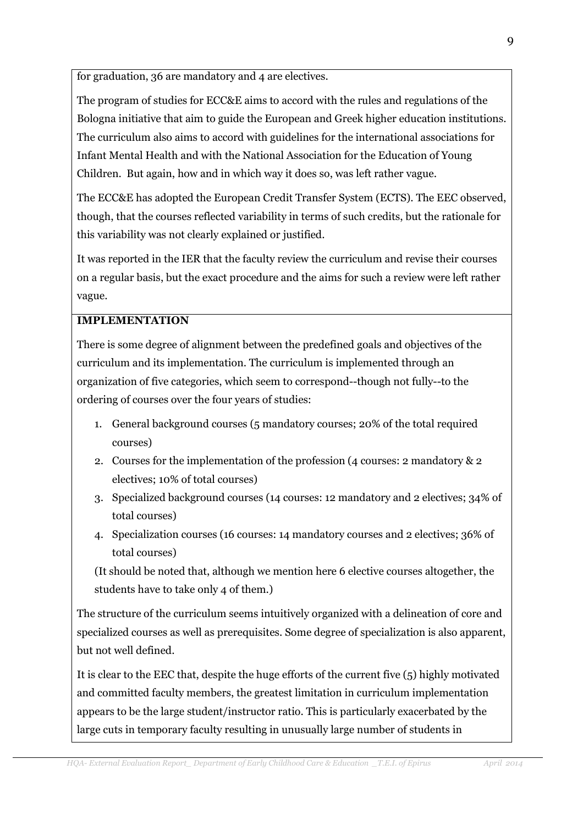for graduation, 36 are mandatory and 4 are electives.

The program of studies for ECC&E aims to accord with the rules and regulations of the Bologna initiative that aim to guide the European and Greek higher education institutions. The curriculum also aims to accord with guidelines for the international associations for Infant Mental Health and with the National Association for the Education of Young Children. But again, how and in which way it does so, was left rather vague.

The ECC&E has adopted the European Credit Transfer System (ECTS). The EEC observed, though, that the courses reflected variability in terms of such credits, but the rationale for this variability was not clearly explained or justified.

It was reported in the IER that the faculty review the curriculum and revise their courses on a regular basis, but the exact procedure and the aims for such a review were left rather vague.

### **IMPLEMENTATION**

There is some degree of alignment between the predefined goals and objectives of the curriculum and its implementation. The curriculum is implemented through an organization of five categories, which seem to correspond--though not fully--to the ordering of courses over the four years of studies:

- 1. General background courses (5 mandatory courses: 20% of the total required courses)
- 2. Courses for the implementation of the profession (4 courses: 2 mandatory  $\&$  2 electives: 10% of total courses)
- 3. Specialized background courses (14 courses: 12 mandatory and 2 electives; 34% of total courses)
- 4. Specialization courses (16 courses: 14 mandatory courses and 2 electives; 36% of total courses)

(It should be noted that, although we mention here 6 elective courses altogether, the students have to take only 4 of them.)

The structure of the curriculum seems intuitively organized with a delineation of core and specialized courses as well as prerequisites. Some degree of specialization is also apparent, but not well defined.

It is clear to the EEC that, despite the huge efforts of the current five  $(5)$  highly motivated and committed faculty members, the greatest limitation in curriculum implementation appears to be the large student/instructor ratio. This is particularly exacerbated by the large cuts in temporary faculty resulting in unusually large number of students in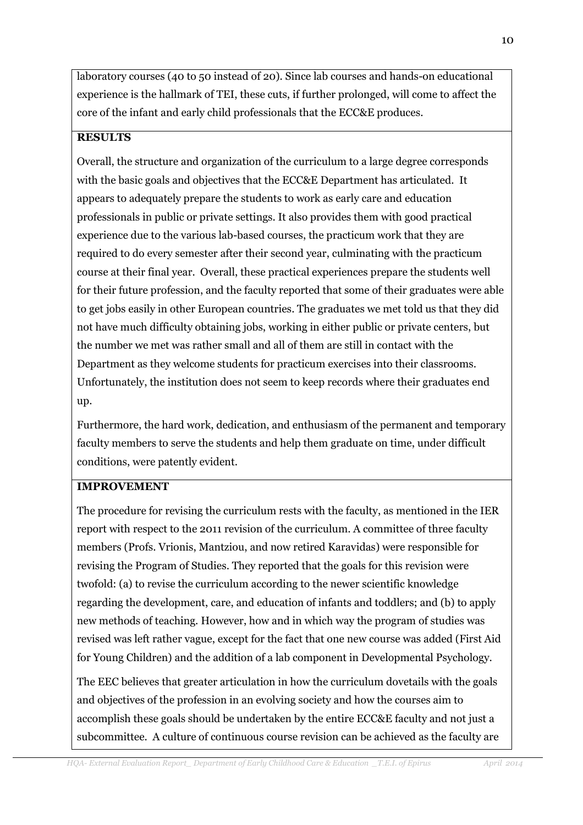laboratory courses (40 to 50 instead of 20). Since lab courses and hands-on educational experience is the hallmark of TEI, these cuts, if further prolonged, will come to affect the core of the infant and early child professionals that the ECC&E produces.

# **RESILTS**

Overall, the structure and organization of the curriculum to a large degree corresponds with the basic goals and objectives that the ECC&E Department has articulated. It appears to adequately prepare the students to work as early care and education professionals in public or private settings. It also provides them with good practical experience due to the various lab-based courses, the practicum work that they are required to do every semester after their second year, culminating with the practicum course at their final year. Overall, these practical experiences prepare the students well for their future profession, and the faculty reported that some of their graduates were able to get jobs easily in other European countries. The graduates we met told us that they did not have much difficulty obtaining jobs, working in either public or private centers, but the number we met was rather small and all of them are still in contact with the Department as they welcome students for practicum exercises into their classrooms. Unfortunately, the institution does not seem to keep records where their graduates end up.

Furthermore, the hard work, dedication, and enthusiasm of the permanent and temporary faculty members to serve the students and help them graduate on time, under difficult conditions, were patently evident.

# **IMPROVEMENT**

The procedure for revising the curriculum rests with the faculty, as mentioned in the IER report with respect to the 2011 revision of the curriculum. A committee of three faculty members (Profs. Vrionis, Mantziou, and now retired Karavidas) were responsible for revising the Program of Studies. They reported that the goals for this revision were twofold: (a) to revise the curriculum according to the newer scientific knowledge regarding the development, care, and education of infants and toddlers; and (b) to apply new methods of teaching. However, how and in which way the program of studies was revised was left rather vague, except for the fact that one new course was added (First Aid for Young Children) and the addition of a lab component in Developmental Psychology.

The EEC believes that greater articulation in how the curriculum dovetails with the goals and objectives of the profession in an evolving society and how the courses aim to accomplish these goals should be undertaken by the entire ECC&E faculty and not just a subcommittee. A culture of continuous course revision can be achieved as the faculty are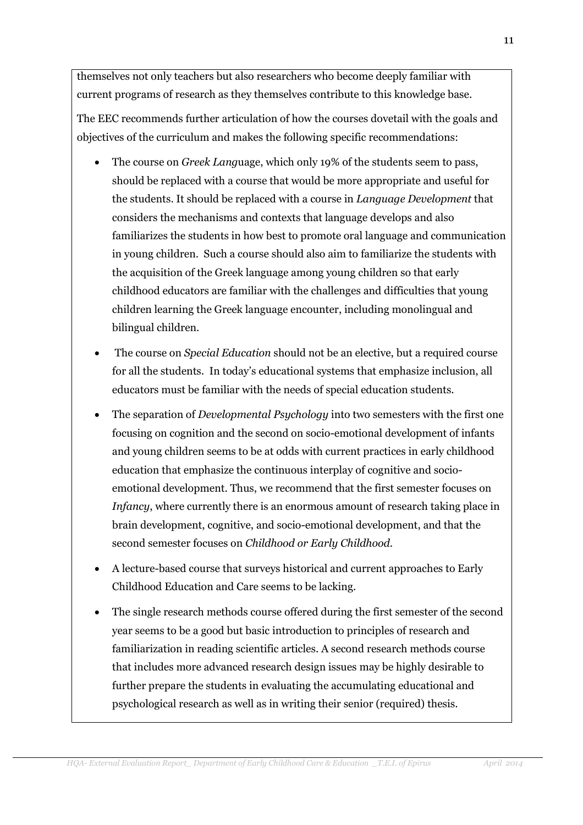themselves not only teachers but also researchers who become deeply familiar with current programs of research as they themselves contribute to this knowledge base.

The EEC recommends further articulation of how the courses dovetail with the goals and objectives of the curriculum and makes the following specific recommendations:

- The course on *Greek Language*, which only 19% of the students seem to pass,  $\bullet$ should be replaced with a course that would be more appropriate and useful for the students. It should be replaced with a course in *Language Development* that considers the mechanisms and contexts that language develops and also familiarizes the students in how best to promote oral language and communication in young children. Such a course should also aim to familiarize the students with the acquisition of the Greek language among young children so that early childhood educators are familiar with the challenges and difficulties that young children learning the Greek language encounter, including monolingual and bilingual children.
- The course on *Special Education* should not be an elective, but a required course for all the students. In today's educational systems that emphasize inclusion, all educators must be familiar with the needs of special education students.
- The separation of *Developmental Psychology* into two semesters with the first one focusing on cognition and the second on socio-emotional development of infants and young children seems to be at odds with current practices in early childhood education that emphasize the continuous interplay of cognitive and socioemotional development. Thus, we recommend that the first semester focuses on Infancy, where currently there is an enormous amount of research taking place in brain development, cognitive, and socio-emotional development, and that the second semester focuses on Childhood or Early Childhood.
- A lecture-based course that surveys historical and current approaches to Early Childhood Education and Care seems to be lacking.
- The single research methods course offered during the first semester of the second year seems to be a good but basic introduction to principles of research and familiarization in reading scientific articles. A second research methods course that includes more advanced research design issues may be highly desirable to further prepare the students in evaluating the accumulating educational and psychological research as well as in writing their senior (required) thesis.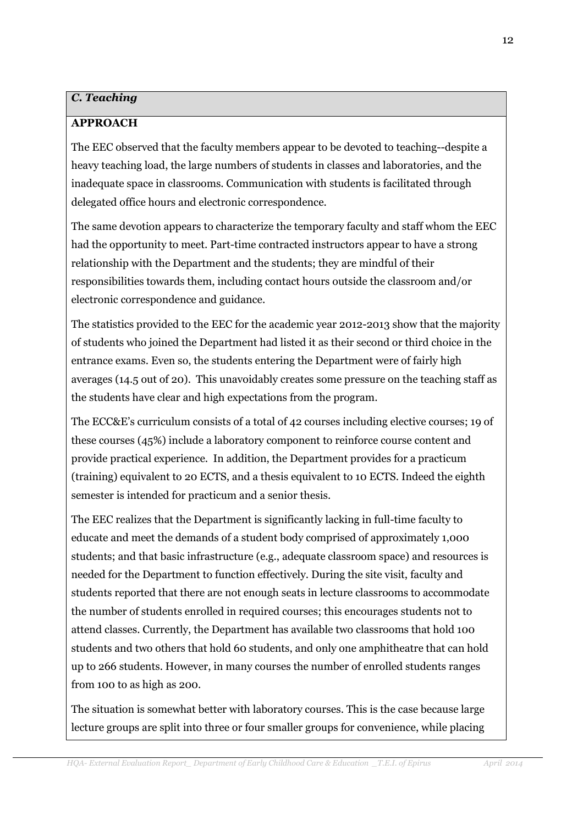### **C. Teaching**

### **APPROACH**

The EEC observed that the faculty members appear to be devoted to teaching--despite a heavy teaching load, the large numbers of students in classes and laboratories, and the inadequate space in classrooms. Communication with students is facilitated through delegated office hours and electronic correspondence.

The same devotion appears to characterize the temporary faculty and staff whom the EEC had the opportunity to meet. Part-time contracted instructors appear to have a strong relationship with the Department and the students; they are mindful of their responsibilities towards them, including contact hours outside the classroom and/or electronic correspondence and guidance.

The statistics provided to the EEC for the academic year 2012-2013 show that the majority of students who joined the Department had listed it as their second or third choice in the entrance exams. Even so, the students entering the Department were of fairly high averages (14.5 out of 20). This unavoidably creates some pressure on the teaching staff as the students have clear and high expectations from the program.

The ECC&E's curriculum consists of a total of 42 courses including elective courses; 19 of these courses (45%) include a laboratory component to reinforce course content and provide practical experience. In addition, the Department provides for a practicum (training) equivalent to 20 ECTS, and a thesis equivalent to 10 ECTS. Indeed the eighth semester is intended for practicum and a senior thesis.

The EEC realizes that the Department is significantly lacking in full-time faculty to educate and meet the demands of a student body comprised of approximately 1,000 students; and that basic infrastructure (e.g., adequate classroom space) and resources is needed for the Department to function effectively. During the site visit, faculty and students reported that there are not enough seats in lecture classrooms to accommodate the number of students enrolled in required courses; this encourages students not to attend classes. Currently, the Department has available two classrooms that hold 100 students and two others that hold 60 students, and only one amphitheatre that can hold up to 266 students. However, in many courses the number of enrolled students ranges from 100 to as high as 200.

The situation is somewhat better with laboratory courses. This is the case because large lecture groups are split into three or four smaller groups for convenience, while placing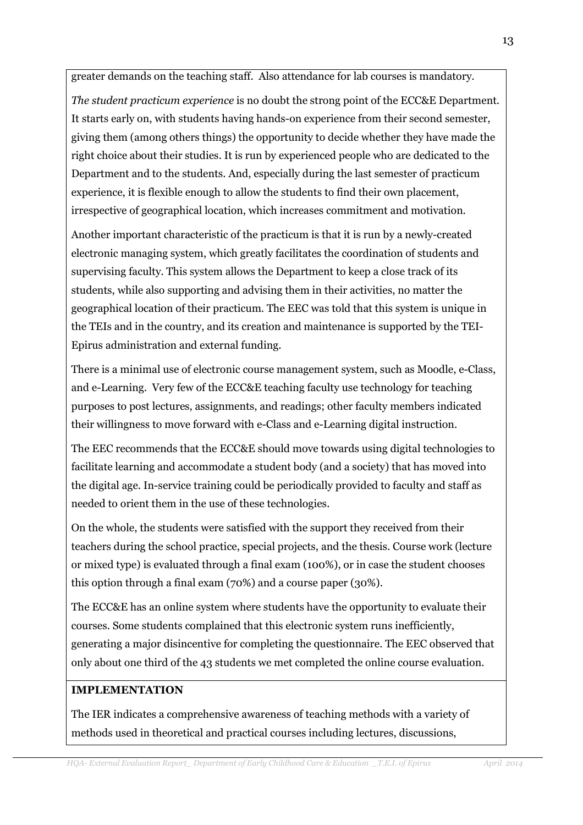greater demands on the teaching staff. Also attendance for lab courses is mandatory.

The student practicum experience is no doubt the strong point of the ECC&E Department. It starts early on, with students having hands-on experience from their second semester, giving them (among others things) the opportunity to decide whether they have made the right choice about their studies. It is run by experienced people who are dedicated to the Department and to the students. And, especially during the last semester of practicum experience, it is flexible enough to allow the students to find their own placement, irrespective of geographical location, which increases commitment and motivation.

Another important characteristic of the practicum is that it is run by a newly-created electronic managing system, which greatly facilitates the coordination of students and supervising faculty. This system allows the Department to keep a close track of its students, while also supporting and advising them in their activities, no matter the geographical location of their practicum. The EEC was told that this system is unique in the TEIs and in the country, and its creation and maintenance is supported by the TEI-Epirus administration and external funding.

There is a minimal use of electronic course management system, such as Moodle, e-Class, and e-Learning. Very few of the ECC&E teaching faculty use technology for teaching purposes to post lectures, assignments, and readings; other faculty members indicated their willingness to move forward with e-Class and e-Learning digital instruction.

The EEC recommends that the ECC&E should move towards using digital technologies to facilitate learning and accommodate a student body (and a society) that has moved into the digital age. In-service training could be periodically provided to faculty and staff as needed to orient them in the use of these technologies.

On the whole, the students were satisfied with the support they received from their teachers during the school practice, special projects, and the thesis. Course work (lecture or mixed type) is evaluated through a final exam (100%), or in case the student chooses this option through a final exam (70%) and a course paper (30%).

The ECC&E has an online system where students have the opportunity to evaluate their courses. Some students complained that this electronic system runs inefficiently, generating a major disincentive for completing the questionnaire. The EEC observed that only about one third of the 43 students we met completed the online course evaluation.

#### **IMPLEMENTATION**

The IER indicates a comprehensive awareness of teaching methods with a variety of methods used in theoretical and practical courses including lectures, discussions,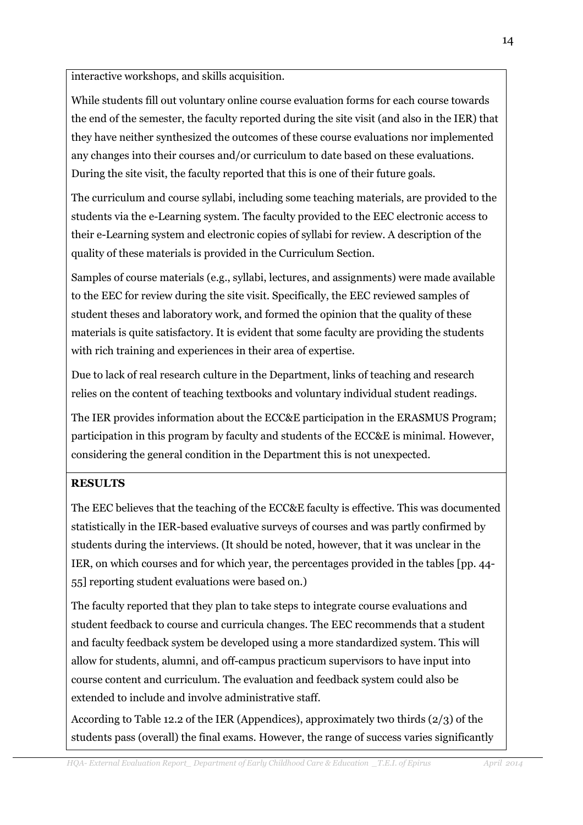interactive workshops, and skills acquisition.

While students fill out voluntary online course evaluation forms for each course towards the end of the semester, the faculty reported during the site visit (and also in the IER) that they have neither synthesized the outcomes of these course evaluations nor implemented any changes into their courses and/or curriculum to date based on these evaluations. During the site visit, the faculty reported that this is one of their future goals.

The curriculum and course syllabi, including some teaching materials, are provided to the students via the e-Learning system. The faculty provided to the EEC electronic access to their e-Learning system and electronic copies of syllabi for review. A description of the quality of these materials is provided in the Curriculum Section.

Samples of course materials (e.g., syllabi, lectures, and assignments) were made available to the EEC for review during the site visit. Specifically, the EEC reviewed samples of student theses and laboratory work, and formed the opinion that the quality of these materials is quite satisfactory. It is evident that some faculty are providing the students with rich training and experiences in their area of expertise.

Due to lack of real research culture in the Department, links of teaching and research relies on the content of teaching textbooks and voluntary individual student readings.

The IER provides information about the ECC&E participation in the ERASMUS Program; participation in this program by faculty and students of the ECC&E is minimal. However, considering the general condition in the Department this is not unexpected.

# **RESULTS**

The EEC believes that the teaching of the ECC&E faculty is effective. This was documented statistically in the IER-based evaluative surveys of courses and was partly confirmed by students during the interviews. (It should be noted, however, that it was unclear in the IER, on which courses and for which year, the percentages provided in the tables [pp. 44-55] reporting student evaluations were based on.)

The faculty reported that they plan to take steps to integrate course evaluations and student feedback to course and curricula changes. The EEC recommends that a student and faculty feedback system be developed using a more standardized system. This will allow for students, alumni, and off-campus practicum supervisors to have input into course content and curriculum. The evaluation and feedback system could also be extended to include and involve administrative staff.

According to Table 12.2 of the IER (Appendices), approximately two thirds  $(2/3)$  of the students pass (overall) the final exams. However, the range of success varies significantly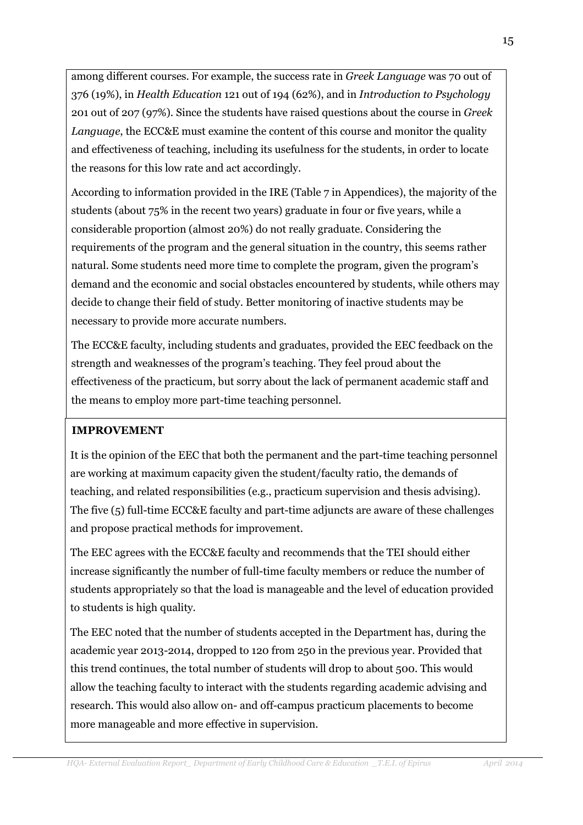among different courses. For example, the success rate in Greek Language was 70 out of 376 (19%), in Health Education 121 out of 194 (62%), and in Introduction to Psychology 201 out of 207 (97%). Since the students have raised questions about the course in Greek *Language*, the ECC&E must examine the content of this course and monitor the quality and effectiveness of teaching, including its usefulness for the students, in order to locate the reasons for this low rate and act accordingly.

According to information provided in the IRE (Table 7 in Appendices), the majority of the students (about 75% in the recent two years) graduate in four or five years, while a considerable proportion (almost 20%) do not really graduate. Considering the requirements of the program and the general situation in the country, this seems rather natural. Some students need more time to complete the program, given the program's demand and the economic and social obstacles encountered by students, while others may decide to change their field of study. Better monitoring of inactive students may be necessary to provide more accurate numbers.

The ECC&E faculty, including students and graduates, provided the EEC feedback on the strength and weaknesses of the program's teaching. They feel proud about the effectiveness of the practicum, but sorry about the lack of permanent academic staff and the means to employ more part-time teaching personnel.

# **IMPROVEMENT**

It is the opinion of the EEC that both the permanent and the part-time teaching personnel are working at maximum capacity given the student/faculty ratio, the demands of teaching, and related responsibilities (e.g., practicum supervision and thesis advising). The five (5) full-time ECC&E faculty and part-time adjuncts are aware of these challenges and propose practical methods for improvement.

The EEC agrees with the ECC&E faculty and recommends that the TEI should either increase significantly the number of full-time faculty members or reduce the number of students appropriately so that the load is manageable and the level of education provided to students is high quality.

The EEC noted that the number of students accepted in the Department has, during the academic year 2013-2014, dropped to 120 from 250 in the previous year. Provided that this trend continues, the total number of students will drop to about 500. This would allow the teaching faculty to interact with the students regarding academic advising and research. This would also allow on- and off-campus practicum placements to become more manageable and more effective in supervision.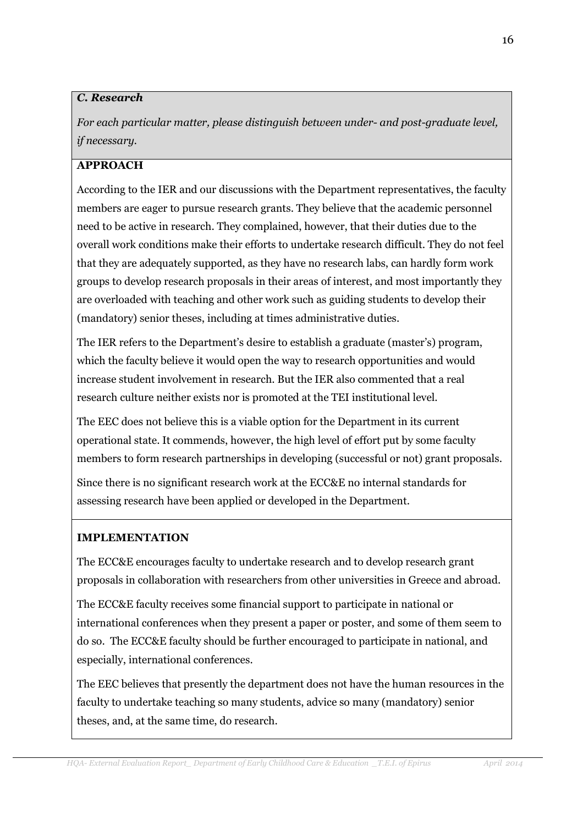### C. Research

For each particular matter, please distinguish between under- and post-graduate level, if necessary.

# **APPROACH**

According to the IER and our discussions with the Department representatives, the faculty members are eager to pursue research grants. They believe that the academic personnel need to be active in research. They complained, however, that their duties due to the overall work conditions make their efforts to undertake research difficult. They do not feel that they are adequately supported, as they have no research labs, can hardly form work groups to develop research proposals in their areas of interest, and most importantly they are overloaded with teaching and other work such as guiding students to develop their (mandatory) senior theses, including at times administrative duties.

The IER refers to the Department's desire to establish a graduate (master's) program, which the faculty believe it would open the way to research opportunities and would increase student involvement in research. But the IER also commented that a real research culture neither exists nor is promoted at the TEI institutional level.

The EEC does not believe this is a viable option for the Department in its current operational state. It commends, however, the high level of effort put by some faculty members to form research partnerships in developing (successful or not) grant proposals.

Since there is no significant research work at the ECC&E no internal standards for assessing research have been applied or developed in the Department.

# **IMPLEMENTATION**

The ECC&E encourages faculty to undertake research and to develop research grant proposals in collaboration with researchers from other universities in Greece and abroad.

The ECC&E faculty receives some financial support to participate in national or international conferences when they present a paper or poster, and some of them seem to do so. The ECC&E faculty should be further encouraged to participate in national, and especially, international conferences.

The EEC believes that presently the department does not have the human resources in the faculty to undertake teaching so many students, advice so many (mandatory) senior theses, and, at the same time, do research.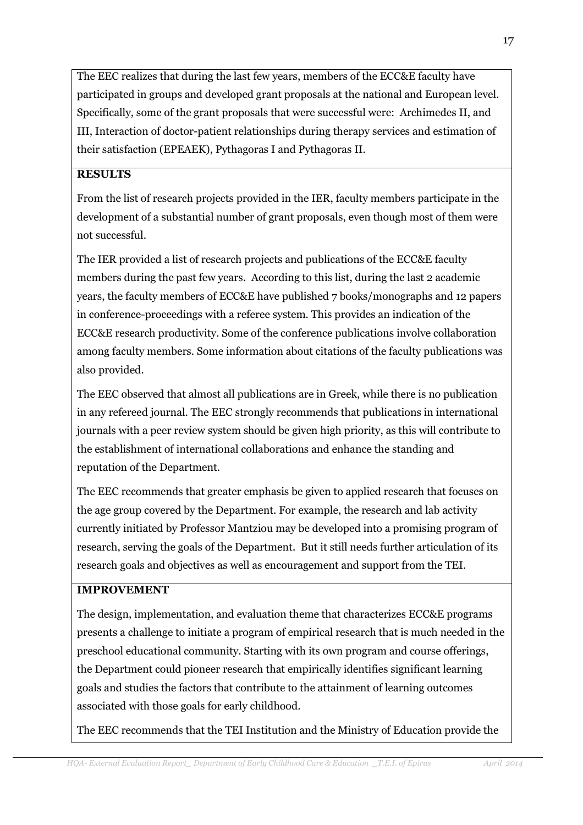The EEC realizes that during the last few years, members of the ECC&E faculty have participated in groups and developed grant proposals at the national and European level. Specifically, some of the grant proposals that were successful were: Archimedes II, and III, Interaction of doctor-patient relationships during therapy services and estimation of their satisfaction (EPEAEK), Pythagoras I and Pythagoras II.

# **RESULTS**

From the list of research projects provided in the IER, faculty members participate in the development of a substantial number of grant proposals, even though most of them were not successful.

The IER provided a list of research projects and publications of the ECC&E faculty members during the past few years. According to this list, during the last 2 academic vears, the faculty members of ECC&E have published 7 books/monographs and 12 papers in conference-proceedings with a referee system. This provides an indication of the ECC&E research productivity. Some of the conference publications involve collaboration among faculty members. Some information about citations of the faculty publications was also provided.

The EEC observed that almost all publications are in Greek, while there is no publication in any refereed journal. The EEC strongly recommends that publications in international journals with a peer review system should be given high priority, as this will contribute to the establishment of international collaborations and enhance the standing and reputation of the Department.

The EEC recommends that greater emphasis be given to applied research that focuses on the age group covered by the Department. For example, the research and lab activity currently initiated by Professor Mantziou may be developed into a promising program of research, serving the goals of the Department. But it still needs further articulation of its research goals and objectives as well as encouragement and support from the TEI.

# **IMPROVEMENT**

The design, implementation, and evaluation theme that characterizes ECC&E programs presents a challenge to initiate a program of empirical research that is much needed in the preschool educational community. Starting with its own program and course offerings, the Department could pioneer research that empirically identifies significant learning goals and studies the factors that contribute to the attainment of learning outcomes associated with those goals for early childhood.

The EEC recommends that the TEI Institution and the Ministry of Education provide the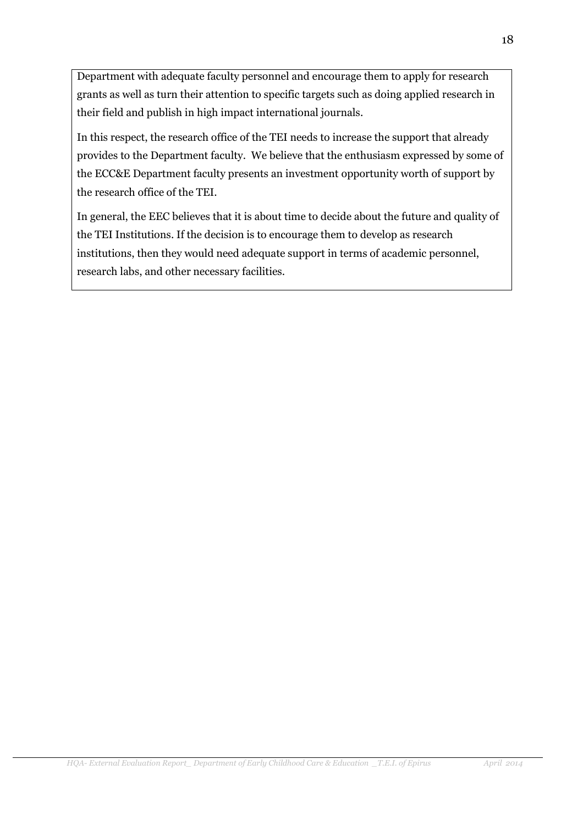Department with adequate faculty personnel and encourage them to apply for research grants as well as turn their attention to specific targets such as doing applied research in their field and publish in high impact international journals.

In this respect, the research office of the TEI needs to increase the support that already provides to the Department faculty. We believe that the enthusiasm expressed by some of the ECC&E Department faculty presents an investment opportunity worth of support by the research office of the TEI.

In general, the EEC believes that it is about time to decide about the future and quality of the TEI Institutions. If the decision is to encourage them to develop as research institutions, then they would need adequate support in terms of academic personnel, research labs, and other necessary facilities.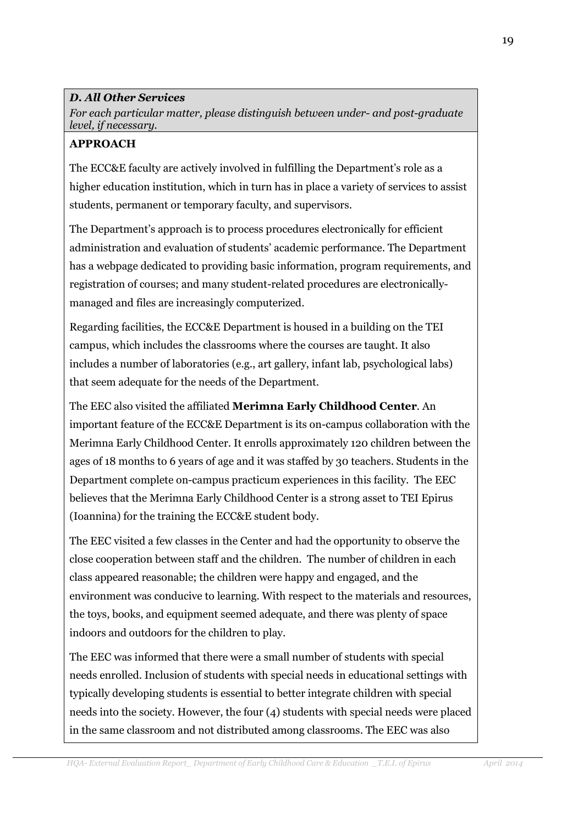### **D. All Other Services**

For each particular matter, please distinguish between under- and post-graduate level, if necessary.

#### **APPROACH**

The ECC&E faculty are actively involved in fulfilling the Department's role as a higher education institution, which in turn has in place a variety of services to assist students, permanent or temporary faculty, and supervisors.

The Department's approach is to process procedures electronically for efficient administration and evaluation of students' academic performance. The Department has a webpage dedicated to providing basic information, program requirements, and registration of courses: and many student-related procedures are electronicallymanaged and files are increasingly computerized.

Regarding facilities, the ECC&E Department is housed in a building on the TEI campus, which includes the classrooms where the courses are taught. It also includes a number of laboratories (e.g., art gallery, infant lab, psychological labs) that seem adequate for the needs of the Department.

The EEC also visited the affiliated Merimna Early Childhood Center. An important feature of the ECC&E Department is its on-campus collaboration with the Merimna Early Childhood Center. It enrolls approximately 120 children between the ages of 18 months to 6 years of age and it was staffed by 30 teachers. Students in the Department complete on-campus practicum experiences in this facility. The EEC believes that the Merimna Early Childhood Center is a strong asset to TEI Epirus (Ioannina) for the training the ECC&E student body.

The EEC visited a few classes in the Center and had the opportunity to observe the close cooperation between staff and the children. The number of children in each class appeared reasonable; the children were happy and engaged, and the environment was conducive to learning. With respect to the materials and resources, the toys, books, and equipment seemed adequate, and there was plenty of space indoors and outdoors for the children to play.

The EEC was informed that there were a small number of students with special needs enrolled. Inclusion of students with special needs in educational settings with typically developing students is essential to better integrate children with special needs into the society. However, the four (4) students with special needs were placed in the same classroom and not distributed among classrooms. The EEC was also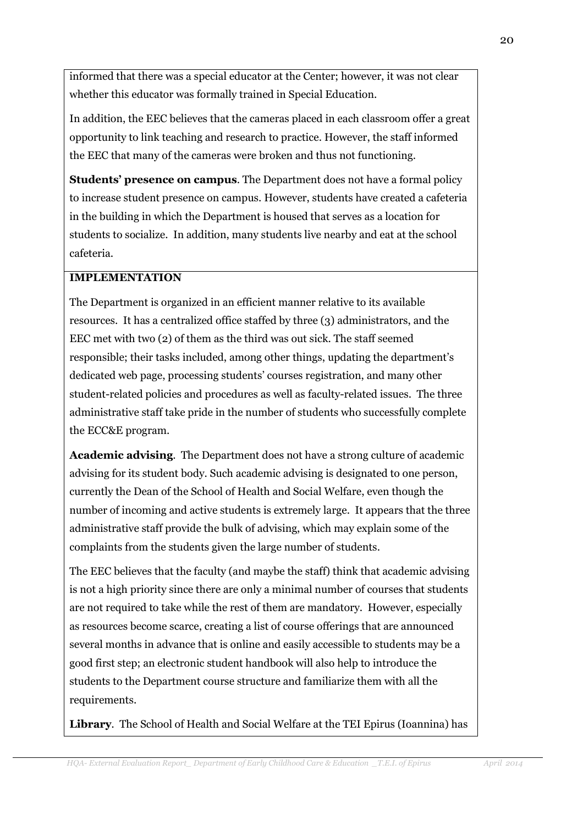informed that there was a special educator at the Center; however, it was not clear whether this educator was formally trained in Special Education.

In addition, the EEC believes that the cameras placed in each classroom offer a great opportunity to link teaching and research to practice. However, the staff informed the EEC that many of the cameras were broken and thus not functioning.

**Students' presence on campus.** The Department does not have a formal policy to increase student presence on campus. However, students have created a cafeteria in the building in which the Department is housed that serves as a location for students to socialize. In addition, many students live nearby and eat at the school cafeteria.

### **IMPLEMENTATION**

The Department is organized in an efficient manner relative to its available resources. It has a centralized office staffed by three (3) administrators, and the EEC met with two (2) of them as the third was out sick. The staff seemed responsible; their tasks included, among other things, updating the department's dedicated web page, processing students' courses registration, and many other student-related policies and procedures as well as faculty-related issues. The three administrative staff take pride in the number of students who successfully complete the ECC&E program.

Academic advising. The Department does not have a strong culture of academic advising for its student body. Such academic advising is designated to one person, currently the Dean of the School of Health and Social Welfare, even though the number of incoming and active students is extremely large. It appears that the three administrative staff provide the bulk of advising, which may explain some of the complaints from the students given the large number of students.

The EEC believes that the faculty (and maybe the staff) think that academic advising is not a high priority since there are only a minimal number of courses that students are not required to take while the rest of them are mandatory. However, especially as resources become scarce, creating a list of course offerings that are announced several months in advance that is online and easily accessible to students may be a good first step; an electronic student handbook will also help to introduce the students to the Department course structure and familiarize them with all the requirements.

Library. The School of Health and Social Welfare at the TEI Epirus (Ioannina) has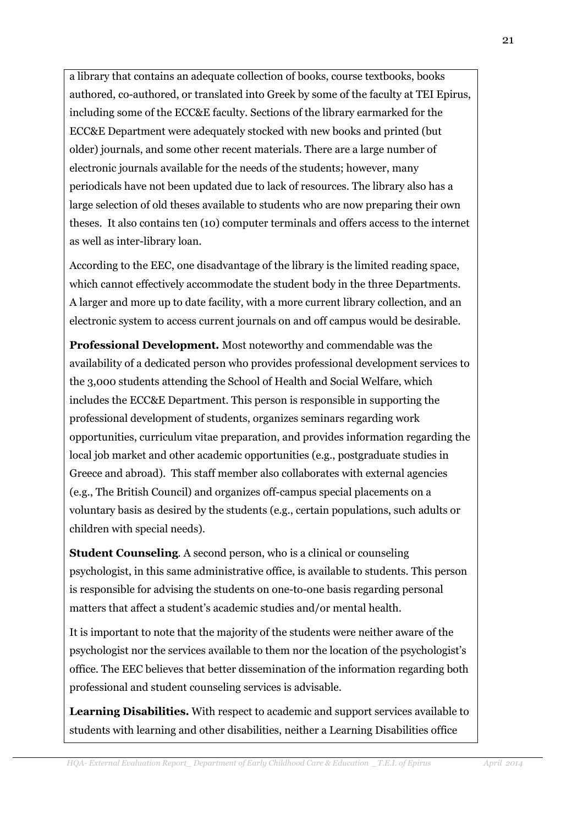a library that contains an adequate collection of books, course textbooks, books authored, co-authored, or translated into Greek by some of the faculty at TEI Epirus, including some of the ECC&E faculty. Sections of the library earmarked for the ECC&E Department were adequately stocked with new books and printed (but older) journals, and some other recent materials. There are a large number of electronic journals available for the needs of the students; however, many periodicals have not been updated due to lack of resources. The library also has a large selection of old theses available to students who are now preparing their own theses. It also contains ten (10) computer terminals and offers access to the internet as well as inter-library loan.

According to the EEC, one disadvantage of the library is the limited reading space, which cannot effectively accommodate the student body in the three Departments. A larger and more up to date facility, with a more current library collection, and an electronic system to access current journals on and off campus would be desirable.

Professional Development. Most noteworthy and commendable was the availability of a dedicated person who provides professional development services to the 3,000 students attending the School of Health and Social Welfare, which includes the ECC&E Department. This person is responsible in supporting the professional development of students, organizes seminars regarding work opportunities, curriculum vitae preparation, and provides information regarding the local job market and other academic opportunities (e.g., postgraduate studies in Greece and abroad). This staff member also collaborates with external agencies (e.g., The British Council) and organizes off-campus special placements on a voluntary basis as desired by the students (e.g., certain populations, such adults or children with special needs).

**Student Counseling.** A second person, who is a clinical or counseling psychologist, in this same administrative office, is available to students. This person is responsible for advising the students on one-to-one basis regarding personal matters that affect a student's academic studies and/or mental health.

It is important to note that the majority of the students were neither aware of the psychologist nor the services available to them nor the location of the psychologist's office. The EEC believes that better dissemination of the information regarding both professional and student counseling services is advisable.

Learning Disabilities. With respect to academic and support services available to students with learning and other disabilities, neither a Learning Disabilities office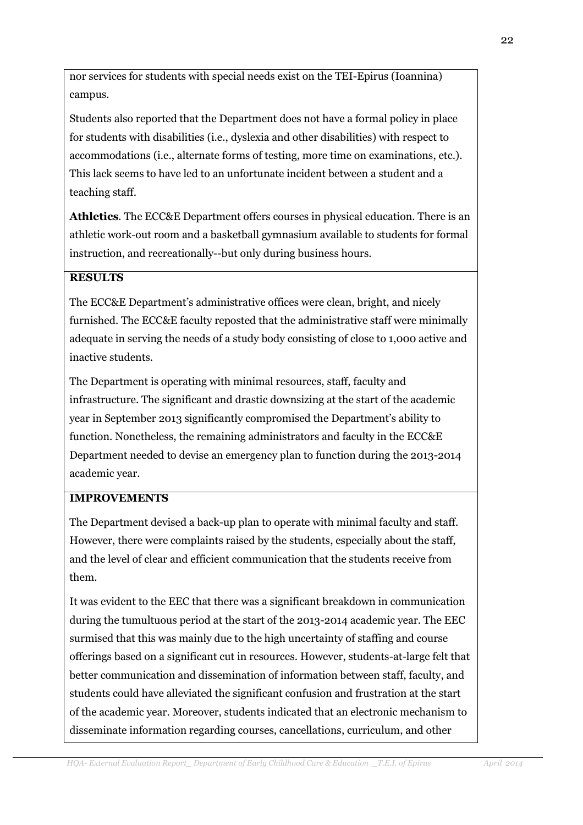nor services for students with special needs exist on the TEI-Epirus (Ioannina) campus.

Students also reported that the Department does not have a formal policy in place for students with disabilities (i.e., dyslexia and other disabilities) with respect to accommodations (i.e., alternate forms of testing, more time on examinations, etc.). This lack seems to have led to an unfortunate incident between a student and a teaching staff.

**Athletics.** The ECC&E Department offers courses in physical education. There is an athletic work-out room and a basketball gymnasium available to students for formal instruction, and recreationally--but only during business hours.

# **RESILTS**

The ECC&E Department's administrative offices were clean, bright, and nicely furnished. The ECC&E faculty reposted that the administrative staff were minimally adequate in serving the needs of a study body consisting of close to 1.000 active and inactive students.

The Department is operating with minimal resources, staff, faculty and infrastructure. The significant and drastic downsizing at the start of the academic year in September 2013 significantly compromised the Department's ability to function. Nonetheless, the remaining administrators and faculty in the ECC&E Department needed to devise an emergency plan to function during the 2013-2014 academic vear.

# **IMPROVEMENTS**

The Department devised a back-up plan to operate with minimal faculty and staff. However, there were complaints raised by the students, especially about the staff, and the level of clear and efficient communication that the students receive from them.

It was evident to the EEC that there was a significant breakdown in communication during the tumultuous period at the start of the 2013-2014 academic year. The EEC surmised that this was mainly due to the high uncertainty of staffing and course offerings based on a significant cut in resources. However, students-at-large felt that better communication and dissemination of information between staff, faculty, and students could have alleviated the significant confusion and frustration at the start of the academic year. Moreover, students indicated that an electronic mechanism to disseminate information regarding courses, cancellations, curriculum, and other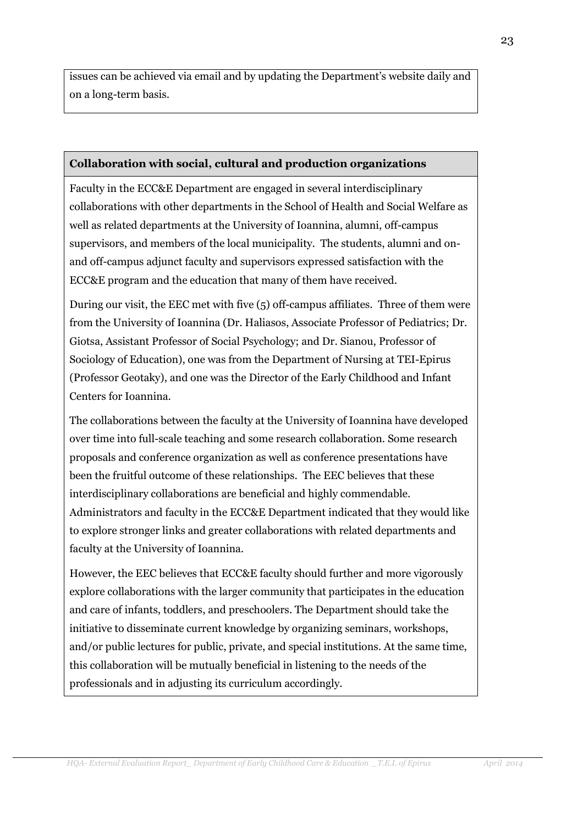issues can be achieved via email and by updating the Department's website daily and on a long-term basis.

#### Collaboration with social, cultural and production organizations

Faculty in the ECC&E Department are engaged in several interdisciplinary collaborations with other departments in the School of Health and Social Welfare as well as related departments at the University of Ioannina, alumni, off-campus supervisors, and members of the local municipality. The students, alumni and onand off-campus adjunct faculty and supervisors expressed satisfaction with the ECC&E program and the education that many of them have received.

During our visit, the EEC met with five (5) off-campus affiliates. Three of them were from the University of Ioannina (Dr. Haliasos, Associate Professor of Pediatrics; Dr. Giotsa, Assistant Professor of Social Psychology: and Dr. Sianou, Professor of Sociology of Education), one was from the Department of Nursing at TEI-Epirus (Professor Geotaky), and one was the Director of the Early Childhood and Infant Centers for Ioannina.

The collaborations between the faculty at the University of Ioannina have developed over time into full-scale teaching and some research collaboration. Some research proposals and conference organization as well as conference presentations have been the fruitful outcome of these relationships. The EEC believes that these interdisciplinary collaborations are beneficial and highly commendable. Administrators and faculty in the ECC&E Department indicated that they would like to explore stronger links and greater collaborations with related departments and faculty at the University of Ioannina.

However, the EEC believes that ECC&E faculty should further and more vigorously explore collaborations with the larger community that participates in the education and care of infants, toddlers, and preschoolers. The Department should take the initiative to disseminate current knowledge by organizing seminars, workshops, and/or public lectures for public, private, and special institutions. At the same time, this collaboration will be mutually beneficial in listening to the needs of the professionals and in adjusting its curriculum accordingly.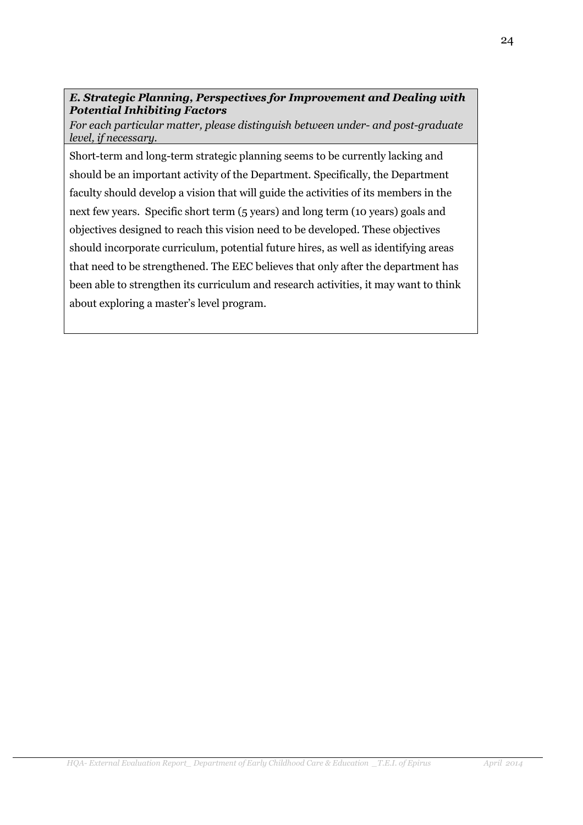### E. Strategic Planning, Perspectives for Improvement and Dealing with **Potential Inhibiting Factors**

For each particular matter, please distinguish between under- and post-graduate level, if necessary.

Short-term and long-term strategic planning seems to be currently lacking and should be an important activity of the Department. Specifically, the Department faculty should develop a vision that will guide the activities of its members in the next few years. Specific short term (5 years) and long term (10 years) goals and objectives designed to reach this vision need to be developed. These objectives should incorporate curriculum, potential future hires, as well as identifying areas that need to be strengthened. The EEC believes that only after the department has been able to strengthen its curriculum and research activities, it may want to think about exploring a master's level program.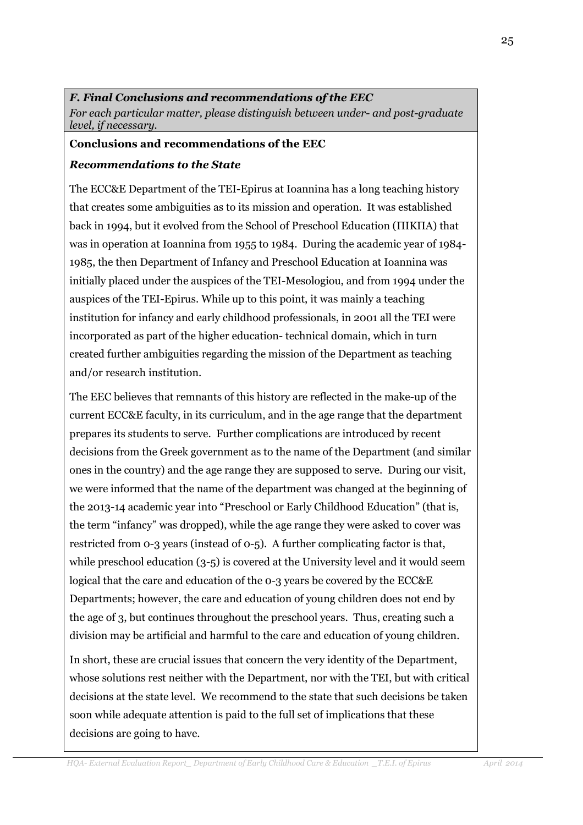#### F. Final Conclusions and recommendations of the EEC For each particular matter, please distinguish between under- and post-graduate level, if necessary.

#### **Conclusions and recommendations of the EEC**

#### **Recommendations to the State**

The ECC&E Department of the TEI-Epirus at Ioannina has a long teaching history that creates some ambiguities as to its mission and operation. It was established back in 1994, but it evolved from the School of Preschool Education (ΠΙΚΠΑ) that was in operation at Ioannina from 1955 to 1984. During the academic year of 1984-1985, the then Department of Infancy and Preschool Education at Ioannina was initially placed under the auspices of the TEI-Mesologiou, and from 1994 under the auspices of the TEI-Epirus. While up to this point, it was mainly a teaching institution for infancy and early childhood professionals, in 2001 all the TEI were incorporated as part of the higher education-technical domain, which in turn created further ambiguities regarding the mission of the Department as teaching and/or research institution.

The EEC believes that remnants of this history are reflected in the make-up of the current ECC&E faculty, in its curriculum, and in the age range that the department prepares its students to serve. Further complications are introduced by recent decisions from the Greek government as to the name of the Department (and similar ones in the country) and the age range they are supposed to serve. During our visit, we were informed that the name of the department was changed at the beginning of the 2013-14 academic year into "Preschool or Early Childhood Education" (that is, the term "infancy" was dropped), while the age range they were asked to cover was restricted from 0-3 years (instead of 0-5). A further complicating factor is that, while preschool education  $(3-5)$  is covered at the University level and it would seem logical that the care and education of the 0-3 years be covered by the ECC&E Departments; however, the care and education of young children does not end by the age of 3, but continues throughout the preschool years. Thus, creating such a division may be artificial and harmful to the care and education of young children.

In short, these are crucial issues that concern the very identity of the Department. whose solutions rest neither with the Department, nor with the TEI, but with critical decisions at the state level. We recommend to the state that such decisions be taken soon while adequate attention is paid to the full set of implications that these decisions are going to have.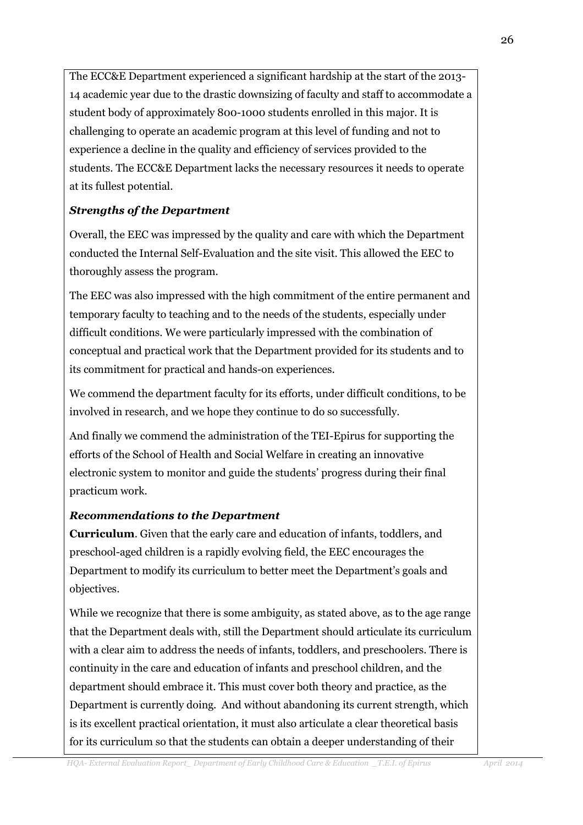The ECC&E Department experienced a significant hardship at the start of the 2013-14 academic year due to the drastic downsizing of faculty and staff to accommodate a student body of approximately 800-1000 students enrolled in this major. It is challenging to operate an academic program at this level of funding and not to experience a decline in the quality and efficiency of services provided to the students. The ECC&E Department lacks the necessary resources it needs to operate at its fullest potential.

# **Strengths of the Department**

Overall, the EEC was impressed by the quality and care with which the Department conducted the Internal Self-Evaluation and the site visit. This allowed the EEC to thoroughly assess the program.

The EEC was also impressed with the high commitment of the entire permanent and temporary faculty to teaching and to the needs of the students, especially under difficult conditions. We were particularly impressed with the combination of conceptual and practical work that the Department provided for its students and to its commitment for practical and hands-on experiences.

We commend the department faculty for its efforts, under difficult conditions, to be involved in research, and we hope they continue to do so successfully.

And finally we commend the administration of the TEI-Epirus for supporting the efforts of the School of Health and Social Welfare in creating an innovative electronic system to monitor and guide the students' progress during their final practicum work.

# **Recommendations to the Department**

**Curriculum.** Given that the early care and education of infants, toddlers, and preschool-aged children is a rapidly evolving field, the EEC encourages the Department to modify its curriculum to better meet the Department's goals and objectives.

While we recognize that there is some ambiguity, as stated above, as to the age range that the Department deals with, still the Department should articulate its curriculum with a clear aim to address the needs of infants, toddlers, and preschoolers. There is continuity in the care and education of infants and preschool children, and the department should embrace it. This must cover both theory and practice, as the Department is currently doing. And without abandoning its current strength, which is its excellent practical orientation, it must also articulate a clear theoretical basis for its curriculum so that the students can obtain a deeper understanding of their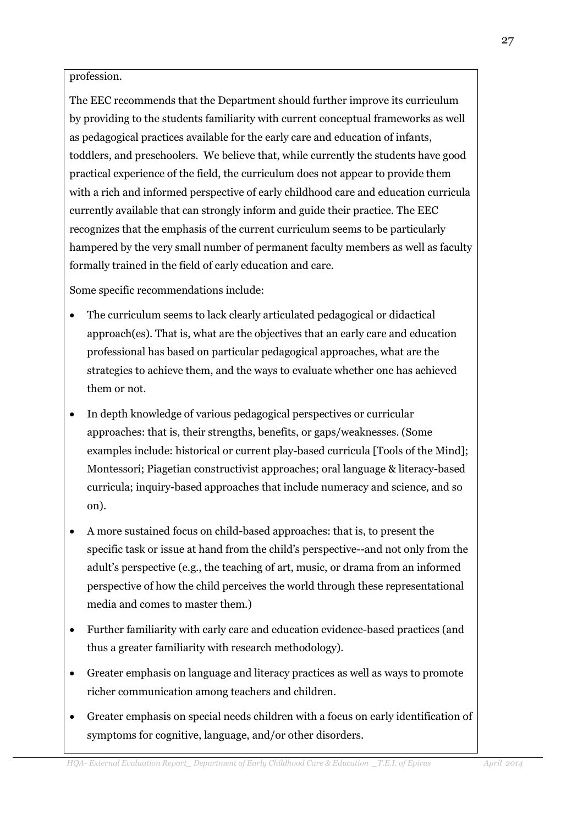profession.

The EEC recommends that the Department should further improve its curriculum by providing to the students familiarity with current conceptual frameworks as well as pedagogical practices available for the early care and education of infants, toddlers, and preschoolers. We believe that, while currently the students have good practical experience of the field, the curriculum does not appear to provide them with a rich and informed perspective of early childhood care and education curricula currently available that can strongly inform and guide their practice. The EEC recognizes that the emphasis of the current curriculum seems to be particularly hampered by the very small number of permanent faculty members as well as faculty formally trained in the field of early education and care.

Some specific recommendations include:

- The curriculum seems to lack clearly articulated pedagogical or didactical  $\bullet$ approach(es). That is, what are the objectives that an early care and education professional has based on particular pedagogical approaches, what are the strategies to achieve them, and the ways to evaluate whether one has achieved them or not.
- In depth knowledge of various pedagogical perspectives or curricular  $\bullet$ approaches: that is, their strengths, benefits, or gaps/weaknesses. (Some examples include: historical or current play-based curricula [Tools of the Mind]; Montessori; Piagetian constructivist approaches; oral language & literacy-based curricula; inquiry-based approaches that include numeracy and science, and so on).
- A more sustained focus on child-based approaches: that is, to present the specific task or issue at hand from the child's perspective--and not only from the adult's perspective (e.g., the teaching of art, music, or drama from an informed perspective of how the child perceives the world through these representational media and comes to master them.)
- Further familiarity with early care and education evidence-based practices (and thus a greater familiarity with research methodology).
- Greater emphasis on language and literacy practices as well as ways to promote richer communication among teachers and children.
- Greater emphasis on special needs children with a focus on early identification of symptoms for cognitive, language, and/or other disorders.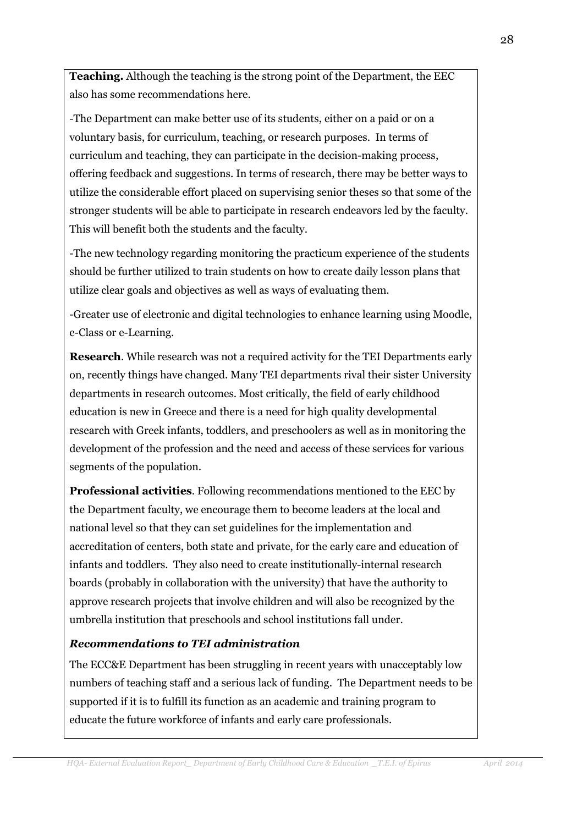**Teaching.** Although the teaching is the strong point of the Department, the EEC also has some recommendations here.

-The Department can make better use of its students, either on a paid or on a voluntary basis, for curriculum, teaching, or research purposes. In terms of curriculum and teaching, they can participate in the decision-making process, offering feedback and suggestions. In terms of research, there may be better ways to utilize the considerable effort placed on supervising senior theses so that some of the stronger students will be able to participate in research endeavors led by the faculty. This will benefit both the students and the faculty.

-The new technology regarding monitoring the practicum experience of the students should be further utilized to train students on how to create daily lesson plans that utilize clear goals and objectives as well as ways of evaluating them.

-Greater use of electronic and digital technologies to enhance learning using Moodle, e-Class or e-Learning.

**Research.** While research was not a required activity for the TEI Departments early on, recently things have changed. Many TEI departments rival their sister University departments in research outcomes. Most critically, the field of early childhood education is new in Greece and there is a need for high quality developmental research with Greek infants, toddlers, and preschoolers as well as in monitoring the development of the profession and the need and access of these services for various segments of the population.

**Professional activities.** Following recommendations mentioned to the EEC by the Department faculty, we encourage them to become leaders at the local and national level so that they can set guidelines for the implementation and accreditation of centers, both state and private, for the early care and education of infants and toddlers. They also need to create institutionally-internal research boards (probably in collaboration with the university) that have the authority to approve research projects that involve children and will also be recognized by the umbrella institution that preschools and school institutions fall under.

# **Recommendations to TEI administration**

The ECC&E Department has been struggling in recent years with unacceptably low numbers of teaching staff and a serious lack of funding. The Department needs to be supported if it is to fulfill its function as an academic and training program to educate the future workforce of infants and early care professionals.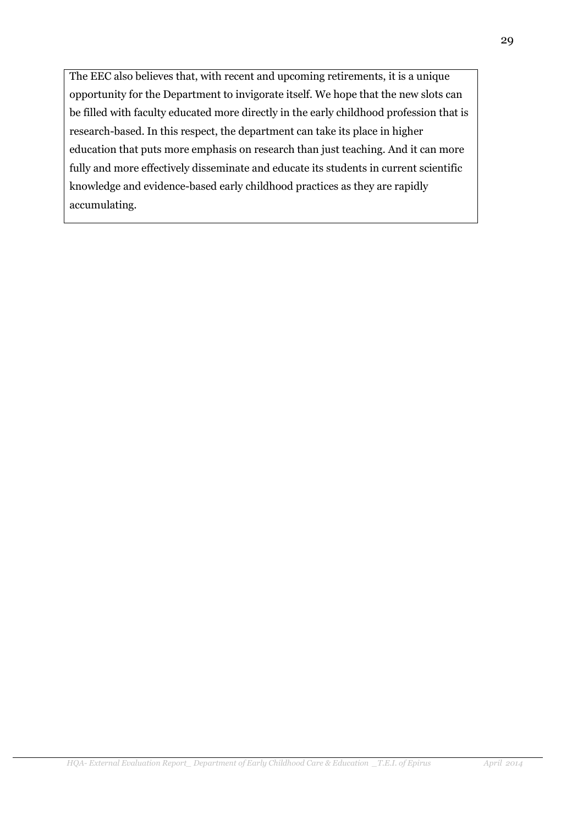The EEC also believes that, with recent and upcoming retirements, it is a unique opportunity for the Department to invigorate itself. We hope that the new slots can be filled with faculty educated more directly in the early childhood profession that is research-based. In this respect, the department can take its place in higher education that puts more emphasis on research than just teaching. And it can more fully and more effectively disseminate and educate its students in current scientific knowledge and evidence-based early childhood practices as they are rapidly accumulating.